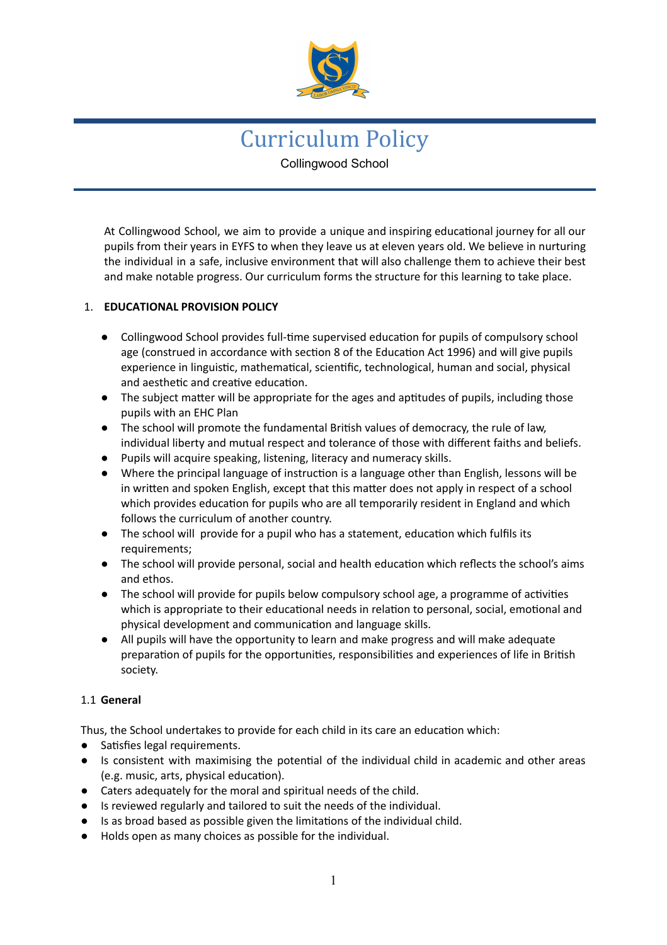

# Curriculum Policy Collingwood School

At Collingwood School, we aim to provide a unique and inspiring educational journey for all our pupils from their years in EYFS to when they leave us at eleven years old. We believe in nurturing the individual in a safe, inclusive environment that will also challenge them to achieve their best and make notable progress. Our curriculum forms the structure for this learning to take place.

# 1. **EDUCATIONAL PROVISION POLICY**

- Collingwood School provides full-time supervised education for pupils of compulsory school age (construed in accordance with section 8 of the Education Act 1996) and will give pupils experience in linguistic, mathematical, scientific, technological, human and social, physical and aesthetic and creative education.
- The subject matter will be appropriate for the ages and aptitudes of pupils, including those pupils with an EHC Plan
- The school will promote the fundamental British values of democracy, the rule of law, individual liberty and mutual respect and tolerance of those with different faiths and beliefs.
- Pupils will acquire speaking, listening, literacy and numeracy skills.
- Where the principal language of instruction is a language other than English, lessons will be in written and spoken English, except that this matter does not apply in respect of a school which provides education for pupils who are all temporarily resident in England and which follows the curriculum of another country.
- The school will provide for a pupil who has a statement, education which fulfils its requirements;
- The school will provide personal, social and health education which reflects the school's aims and ethos.
- The school will provide for pupils below compulsory school age, a programme of activities which is appropriate to their educational needs in relation to personal, social, emotional and physical development and communication and language skills.
- All pupils will have the opportunity to learn and make progress and will make adequate preparation of pupils for the opportunities, responsibilities and experiences of life in British society.

## 1.1 **General**

Thus, the School undertakes to provide for each child in its care an education which:

- Satisfies legal requirements.
- Is consistent with maximising the potential of the individual child in academic and other areas (e.g. music, arts, physical education).
- Caters adequately for the moral and spiritual needs of the child.
- Is reviewed regularly and tailored to suit the needs of the individual.
- Is as broad based as possible given the limitaons of the individual child.
- Holds open as many choices as possible for the individual.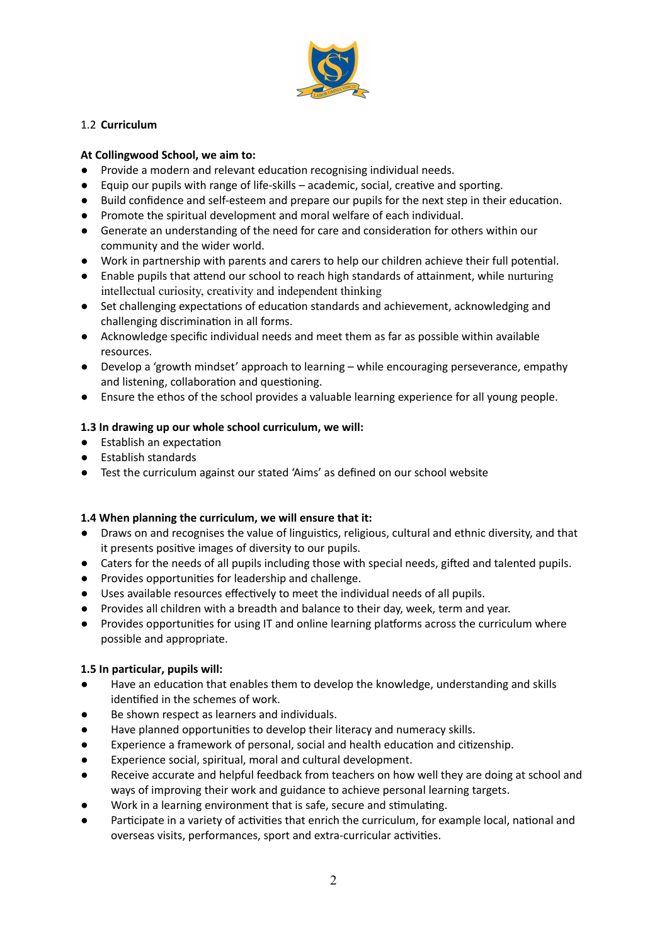

# 1.2 **Curriculum**

## **At Collingwood School, we aim to:**

- Provide a modern and relevant education recognising individual needs.
- $\bullet$  Equip our pupils with range of life-skills academic, social, creative and sporting.
- Build confidence and self-esteem and prepare our pupils for the next step in their education.
- Promote the spiritual development and moral welfare of each individual.
- Generate an understanding of the need for care and consideration for others within our community and the wider world.
- Work in partnership with parents and carers to help our children achieve their full potential.
- Enable pupils that attend our school to reach high standards of attainment, while nurturing intellectual curiosity, creativity and independent thinking
- Set challenging expectations of education standards and achievement, acknowledging and challenging discrimination in all forms.
- Acknowledge specific individual needs and meet them as far as possible within available resources.
- Develop a 'growth mindset' approach to learning while encouraging perseverance, empathy and listening, collaboration and questioning.
- Ensure the ethos of the school provides a valuable learning experience for all young people.

# **1.3 In drawing up our whole school curriculum, we will:**

- Establish an expectation
- Establish standards
- Test the curriculum against our stated 'Aims' as defined on our school website

## **1.4 When planning the curriculum, we will ensure that it:**

- Draws on and recognises the value of linguistics, religious, cultural and ethnic diversity, and that it presents positive images of diversity to our pupils.
- Caters for the needs of all pupils including those with special needs, gifted and talented pupils.
- Provides opportunies for leadership and challenge.
- Uses available resources effectively to meet the individual needs of all pupils.
- Provides all children with a breadth and balance to their day, week, term and year.
- Provides opportunities for using IT and online learning platforms across the curriculum where possible and appropriate.

## **1.5 In particular, pupils will:**

- Have an education that enables them to develop the knowledge, understanding and skills identified in the schemes of work.
- Be shown respect as learners and individuals.
- Have planned opportunities to develop their literacy and numeracy skills.
- Experience a framework of personal, social and health education and citizenship.
- Experience social, spiritual, moral and cultural development.
- Receive accurate and helpful feedback from teachers on how well they are doing at school and ways of improving their work and guidance to achieve personal learning targets.
- Work in a learning environment that is safe, secure and stimulating.
- Participate in a variety of activities that enrich the curriculum, for example local, national and overseas visits, performances, sport and extra-curricular activities.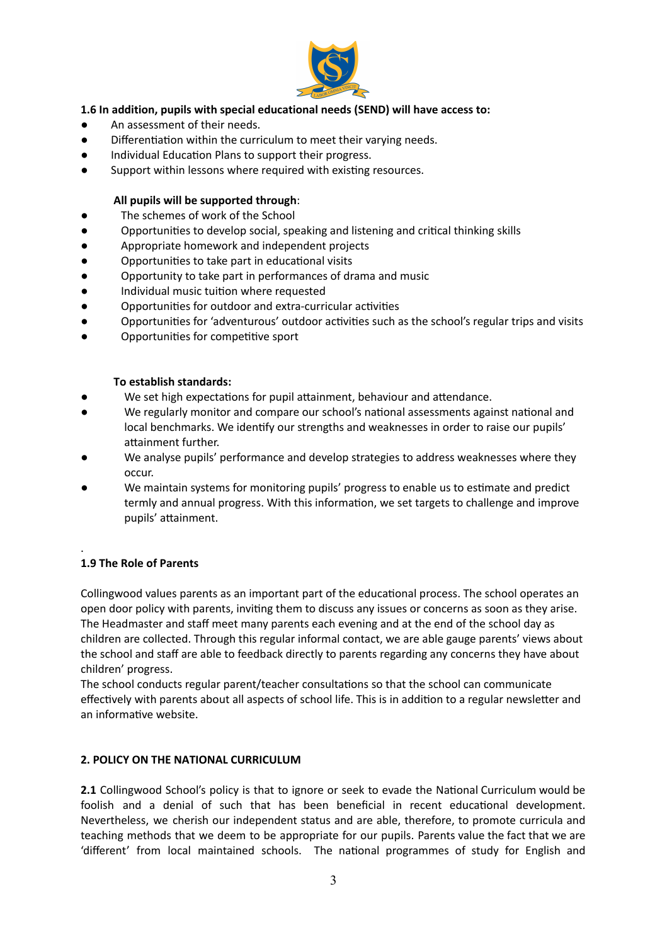

## **1.6 In addition, pupils with special educational needs (SEND) will have access to:**

- An assessment of their needs.
- Differentiation within the curriculum to meet their varying needs.
- Individual Education Plans to support their progress.
- Support within lessons where required with existing resources.

#### **All pupils will be supported through**:

- The schemes of work of the School
- Opportunities to develop social, speaking and listening and critical thinking skills
- Appropriate homework and independent projects
- Opportunities to take part in educational visits
- Opportunity to take part in performances of drama and music
- Individual music tuition where requested
- Opportunities for outdoor and extra-curricular activities
- Opportunities for 'adventurous' outdoor activities such as the school's regular trips and visits
- Opportunities for competitive sport

#### **To establish standards:**

- We set high expectations for pupil attainment, behaviour and attendance.
- We regularly monitor and compare our school's national assessments against national and local benchmarks. We identify our strengths and weaknesses in order to raise our pupils' attainment further.
- We analyse pupils' performance and develop strategies to address weaknesses where they occur.
- We maintain systems for monitoring pupils' progress to enable us to estimate and predict termly and annual progress. With this information, we set targets to challenge and improve pupils' attainment.

#### **1.9 The Role of Parents**

.

Collingwood values parents as an important part of the educational process. The school operates an open door policy with parents, inving them to discuss any issues or concerns as soon as they arise. The Headmaster and staff meet many parents each evening and at the end of the school day as children are collected. Through this regular informal contact, we are able gauge parents' views about the school and staff are able to feedback directly to parents regarding any concerns they have about children' progress.

The school conducts regular parent/teacher consultations so that the school can communicate effectively with parents about all aspects of school life. This is in addition to a regular newsletter and an informative website.

#### **2. POLICY ON THE NATIONAL CURRICULUM**

**2.1** Collingwood School's policy is that to ignore or seek to evade the National Curriculum would be foolish and a denial of such that has been beneficial in recent educational development. Nevertheless, we cherish our independent status and are able, therefore, to promote curricula and teaching methods that we deem to be appropriate for our pupils. Parents value the fact that we are 'different' from local maintained schools. The national programmes of study for English and